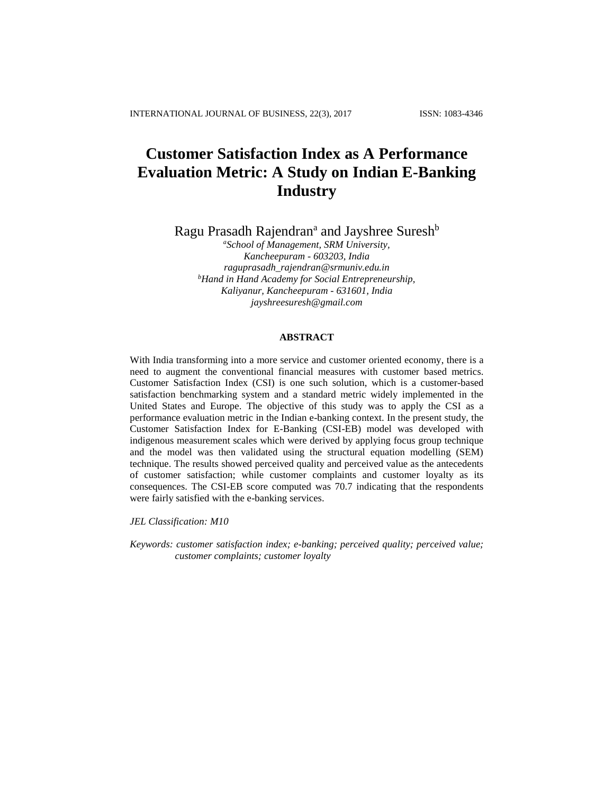## **Customer Satisfaction Index as A Performance Evaluation Metric: A Study on Indian E-Banking Industry**

Ragu Prasadh Rajendran<sup>a</sup> and Jayshree Suresh<sup>b</sup>

*<sup>a</sup>School of Management, SRM University, Kancheepuram - 603203, India raguprasadh\_rajendran@srmuniv.edu.in <sup>b</sup>Hand in Hand Academy for Social Entrepreneurship, Kaliyanur, Kancheepuram - 631601, India [jayshreesuresh@gmail.com](mailto:jayshreesuresh@gmail.com)*

## **ABSTRACT**

With India transforming into a more service and customer oriented economy, there is a need to augment the conventional financial measures with customer based metrics. Customer Satisfaction Index (CSI) is one such solution, which is a customer-based satisfaction benchmarking system and a standard metric widely implemented in the United States and Europe. The objective of this study was to apply the CSI as a performance evaluation metric in the Indian e-banking context. In the present study, the Customer Satisfaction Index for E-Banking (CSI-EB) model was developed with indigenous measurement scales which were derived by applying focus group technique and the model was then validated using the structural equation modelling (SEM) technique. The results showed perceived quality and perceived value as the antecedents of customer satisfaction; while customer complaints and customer loyalty as its consequences. The CSI-EB score computed was 70.7 indicating that the respondents were fairly satisfied with the e-banking services.

*JEL Classification: M10*

*Keywords: customer satisfaction index; e-banking; perceived quality; perceived value; customer complaints; customer loyalty*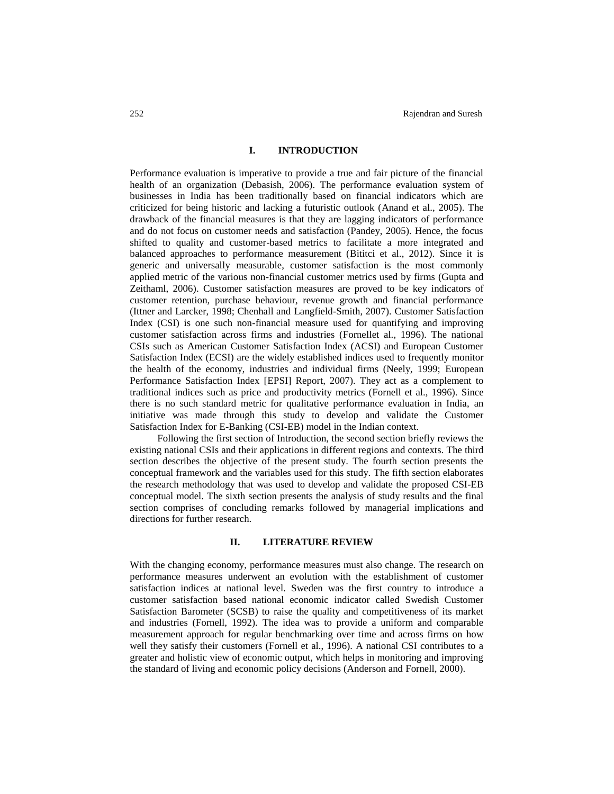#### **I. INTRODUCTION**

Performance evaluation is imperative to provide a true and fair picture of the financial health of an organization (Debasish, 2006). The performance evaluation system of businesses in India has been traditionally based on financial indicators which are criticized for being historic and lacking a futuristic outlook (Anand et al., 2005). The drawback of the financial measures is that they are lagging indicators of performance and do not focus on customer needs and satisfaction (Pandey, 2005). Hence, the focus shifted to quality and customer-based metrics to facilitate a more integrated and balanced approaches to performance measurement (Bititci et al., 2012). Since it is generic and universally measurable, customer satisfaction is the most commonly applied metric of the various non-financial customer metrics used by firms (Gupta and Zeithaml, 2006). Customer satisfaction measures are proved to be key indicators of customer retention, purchase behaviour, revenue growth and financial performance (Ittner and Larcker, 1998; Chenhall and Langfield-Smith, 2007). Customer Satisfaction Index (CSI) is one such non-financial measure used for quantifying and improving customer satisfaction across firms and industries (Fornellet al., 1996). The national CSIs such as American Customer Satisfaction Index (ACSI) and European Customer Satisfaction Index (ECSI) are the widely established indices used to frequently monitor the health of the economy, industries and individual firms (Neely, 1999; European Performance Satisfaction Index [EPSI] Report, 2007). They act as a complement to traditional indices such as price and productivity metrics (Fornell et al., 1996). Since there is no such standard metric for qualitative performance evaluation in India, an initiative was made through this study to develop and validate the Customer Satisfaction Index for E-Banking (CSI-EB) model in the Indian context.

Following the first section of Introduction, the second section briefly reviews the existing national CSIs and their applications in different regions and contexts. The third section describes the objective of the present study. The fourth section presents the conceptual framework and the variables used for this study. The fifth section elaborates the research methodology that was used to develop and validate the proposed CSI-EB conceptual model. The sixth section presents the analysis of study results and the final section comprises of concluding remarks followed by managerial implications and directions for further research.

#### **II. LITERATURE REVIEW**

With the changing economy, performance measures must also change. The research on performance measures underwent an evolution with the establishment of customer satisfaction indices at national level. Sweden was the first country to introduce a customer satisfaction based national economic indicator called Swedish Customer Satisfaction Barometer (SCSB) to raise the quality and competitiveness of its market and industries (Fornell, 1992). The idea was to provide a uniform and comparable measurement approach for regular benchmarking over time and across firms on how well they satisfy their customers (Fornell et al., 1996). A national CSI contributes to a greater and holistic view of economic output, which helps in monitoring and improving the standard of living and economic policy decisions (Anderson and Fornell, 2000).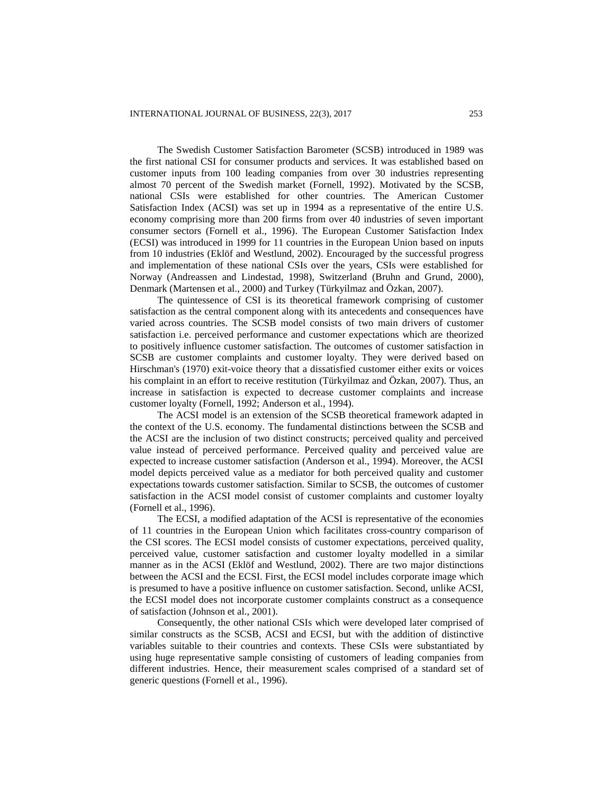The Swedish Customer Satisfaction Barometer (SCSB) introduced in 1989 was the first national CSI for consumer products and services. It was established based on customer inputs from 100 leading companies from over 30 industries representing almost 70 percent of the Swedish market (Fornell, 1992). Motivated by the SCSB, national CSIs were established for other countries. The American Customer Satisfaction Index (ACSI) was set up in 1994 as a representative of the entire U.S. economy comprising more than 200 firms from over 40 industries of seven important consumer sectors (Fornell et al., 1996). The European Customer Satisfaction Index (ECSI) was introduced in 1999 for 11 countries in the European Union based on inputs from 10 industries (Eklöf and Westlund, 2002). Encouraged by the successful progress and implementation of these national CSIs over the years, CSIs were established for Norway (Andreassen and Lindestad, 1998), Switzerland (Bruhn and Grund, 2000), Denmark (Martensen et al., 2000) and Turkey (Türkyilmaz and Özkan, 2007).

The quintessence of CSI is its theoretical framework comprising of customer satisfaction as the central component along with its antecedents and consequences have varied across countries. The SCSB model consists of two main drivers of customer satisfaction i.e. perceived performance and customer expectations which are theorized to positively influence customer satisfaction. The outcomes of customer satisfaction in SCSB are customer complaints and customer loyalty. They were derived based on Hirschman's (1970) exit-voice theory that a dissatisfied customer either exits or voices his complaint in an effort to receive restitution (Türkyilmaz and Özkan, 2007). Thus, an increase in satisfaction is expected to decrease customer complaints and increase customer loyalty (Fornell, 1992; Anderson et al., 1994).

The ACSI model is an extension of the SCSB theoretical framework adapted in the context of the U.S. economy. The fundamental distinctions between the SCSB and the ACSI are the inclusion of two distinct constructs; perceived quality and perceived value instead of perceived performance. Perceived quality and perceived value are expected to increase customer satisfaction (Anderson et al., 1994). Moreover, the ACSI model depicts perceived value as a mediator for both perceived quality and customer expectations towards customer satisfaction. Similar to SCSB, the outcomes of customer satisfaction in the ACSI model consist of customer complaints and customer loyalty (Fornell et al., 1996).

The ECSI, a modified adaptation of the ACSI is representative of the economies of 11 countries in the European Union which facilitates cross-country comparison of the CSI scores. The ECSI model consists of customer expectations, perceived quality, perceived value, customer satisfaction and customer loyalty modelled in a similar manner as in the ACSI (Eklöf and Westlund, 2002). There are two major distinctions between the ACSI and the ECSI. First, the ECSI model includes corporate image which is presumed to have a positive influence on customer satisfaction. Second, unlike ACSI, the ECSI model does not incorporate customer complaints construct as a consequence of satisfaction (Johnson et al., 2001).

Consequently, the other national CSIs which were developed later comprised of similar constructs as the SCSB, ACSI and ECSI, but with the addition of distinctive variables suitable to their countries and contexts. These CSIs were substantiated by using huge representative sample consisting of customers of leading companies from different industries. Hence, their measurement scales comprised of a standard set of generic questions (Fornell et al., 1996).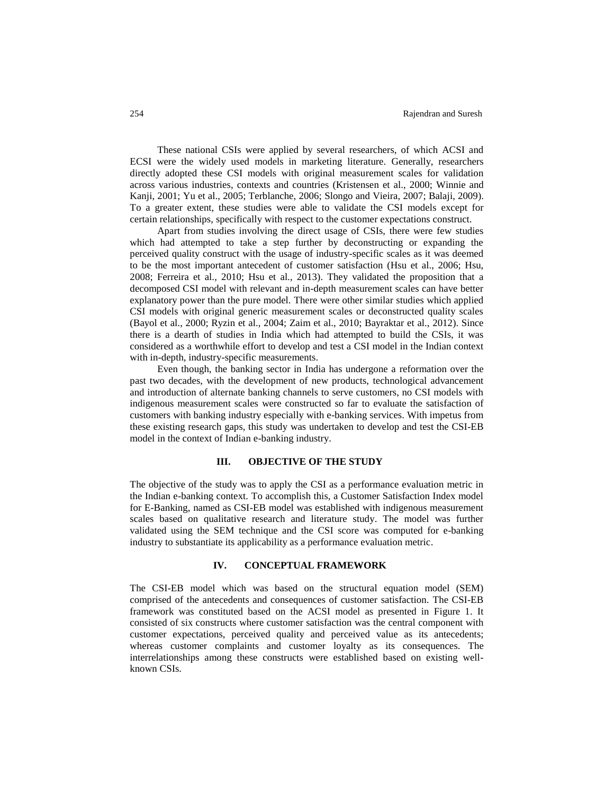These national CSIs were applied by several researchers, of which ACSI and ECSI were the widely used models in marketing literature. Generally, researchers directly adopted these CSI models with original measurement scales for validation across various industries, contexts and countries (Kristensen et al., 2000; Winnie and Kanji, 2001; Yu et al., 2005; Terblanche, 2006; Slongo and Vieira, 2007; Balaji, 2009). To a greater extent, these studies were able to validate the CSI models except for certain relationships, specifically with respect to the customer expectations construct.

Apart from studies involving the direct usage of CSIs, there were few studies which had attempted to take a step further by deconstructing or expanding the perceived quality construct with the usage of industry-specific scales as it was deemed to be the most important antecedent of customer satisfaction (Hsu et al., 2006; Hsu, 2008; Ferreira et al., 2010; Hsu et al., 2013). They validated the proposition that a decomposed CSI model with relevant and in-depth measurement scales can have better explanatory power than the pure model. There were other similar studies which applied CSI models with original generic measurement scales or deconstructed quality scales (Bayol et al., 2000; Ryzin et al., 2004; Zaim et al., 2010; Bayraktar et al., 2012). Since there is a dearth of studies in India which had attempted to build the CSIs, it was considered as a worthwhile effort to develop and test a CSI model in the Indian context with in-depth, industry-specific measurements.

Even though, the banking sector in India has undergone a reformation over the past two decades, with the development of new products, technological advancement and introduction of alternate banking channels to serve customers, no CSI models with indigenous measurement scales were constructed so far to evaluate the satisfaction of customers with banking industry especially with e-banking services. With impetus from these existing research gaps, this study was undertaken to develop and test the CSI-EB model in the context of Indian e-banking industry.

#### **III. OBJECTIVE OF THE STUDY**

The objective of the study was to apply the CSI as a performance evaluation metric in the Indian e-banking context. To accomplish this, a Customer Satisfaction Index model for E-Banking, named as CSI-EB model was established with indigenous measurement scales based on qualitative research and literature study. The model was further validated using the SEM technique and the CSI score was computed for e-banking industry to substantiate its applicability as a performance evaluation metric.

#### **IV. CONCEPTUAL FRAMEWORK**

The CSI-EB model which was based on the structural equation model (SEM) comprised of the antecedents and consequences of customer satisfaction. The CSI-EB framework was constituted based on the ACSI model as presented in Figure 1. It consisted of six constructs where customer satisfaction was the central component with customer expectations, perceived quality and perceived value as its antecedents; whereas customer complaints and customer loyalty as its consequences. The interrelationships among these constructs were established based on existing wellknown CSIs.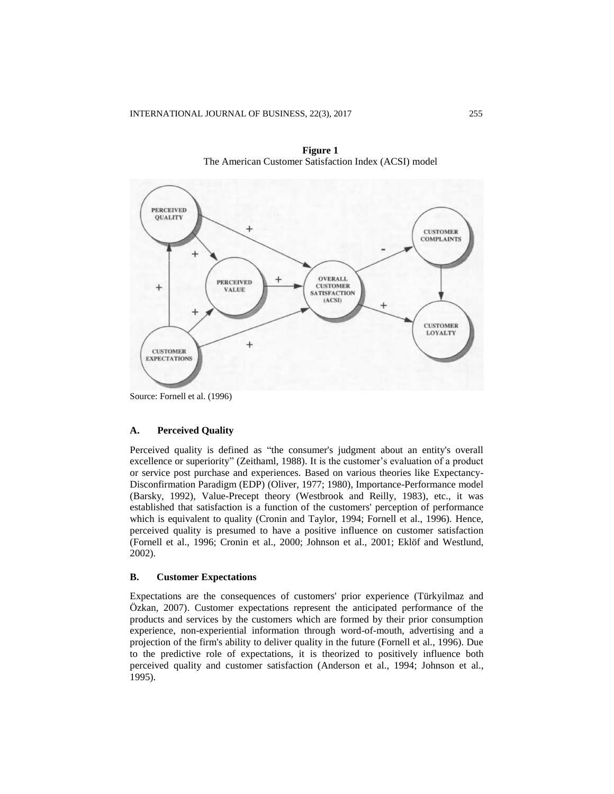

**Figure 1** The American Customer Satisfaction Index (ACSI) model

Source: Fornell et al. (1996)

#### **A. Perceived Quality**

Perceived quality is defined as "the consumer's judgment about an entity's overall excellence or superiority" (Zeithaml, 1988). It is the customer's evaluation of a product or service post purchase and experiences. Based on various theories like Expectancy-Disconfirmation Paradigm (EDP) (Oliver, 1977; 1980), Importance-Performance model (Barsky, 1992), Value-Precept theory (Westbrook and Reilly, 1983), etc., it was established that satisfaction is a function of the customers' perception of performance which is equivalent to quality (Cronin and Taylor, 1994; Fornell et al., 1996). Hence, perceived quality is presumed to have a positive influence on customer satisfaction (Fornell et al., 1996; Cronin et al., 2000; Johnson et al., 2001; Eklöf and Westlund, 2002).

#### **B. Customer Expectations**

Expectations are the consequences of customers' prior experience (Türkyilmaz and Özkan, 2007). Customer expectations represent the anticipated performance of the products and services by the customers which are formed by their prior consumption experience, non-experiential information through word-of-mouth, advertising and a projection of the firm's ability to deliver quality in the future (Fornell et al., 1996). Due to the predictive role of expectations, it is theorized to positively influence both perceived quality and customer satisfaction (Anderson et al., 1994; Johnson et al., 1995).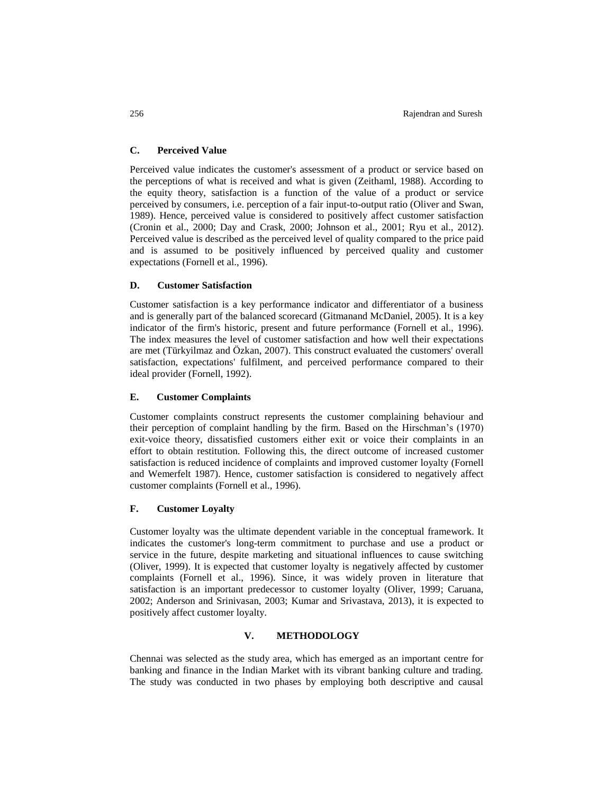#### **C. Perceived Value**

Perceived value indicates the customer's assessment of a product or service based on the perceptions of what is received and what is given (Zeithaml, 1988). According to the equity theory, satisfaction is a function of the value of a product or service perceived by consumers, i.e. perception of a fair input-to-output ratio (Oliver and Swan, 1989). Hence, perceived value is considered to positively affect customer satisfaction (Cronin et al., 2000; Day and Crask, 2000; Johnson et al., 2001; Ryu et al., 2012). Perceived value is described as the perceived level of quality compared to the price paid and is assumed to be positively influenced by perceived quality and customer expectations (Fornell et al., 1996).

#### **D. Customer Satisfaction**

Customer satisfaction is a key performance indicator and differentiator of a business and is generally part of the balanced scorecard (Gitmanand McDaniel, 2005). It is a key indicator of the firm's historic, present and future performance (Fornell et al., 1996). The index measures the level of customer satisfaction and how well their expectations are met (Türkyilmaz and Özkan, 2007). This construct evaluated the customers' overall satisfaction, expectations' fulfilment, and perceived performance compared to their ideal provider (Fornell, 1992).

#### **E. Customer Complaints**

Customer complaints construct represents the customer complaining behaviour and their perception of complaint handling by the firm. Based on the Hirschman's (1970) exit-voice theory, dissatisfied customers either exit or voice their complaints in an effort to obtain restitution. Following this, the direct outcome of increased customer satisfaction is reduced incidence of complaints and improved customer loyalty (Fornell and Wemerfelt 1987). Hence, customer satisfaction is considered to negatively affect customer complaints (Fornell et al., 1996).

#### **F. Customer Loyalty**

Customer loyalty was the ultimate dependent variable in the conceptual framework. It indicates the customer's long-term commitment to purchase and use a product or service in the future, despite marketing and situational influences to cause switching (Oliver, 1999). It is expected that customer loyalty is negatively affected by customer complaints (Fornell et al., 1996). Since, it was widely proven in literature that satisfaction is an important predecessor to customer loyalty (Oliver, 1999; Caruana, 2002; Anderson and Srinivasan, 2003; Kumar and Srivastava, 2013), it is expected to positively affect customer loyalty.

## **V. METHODOLOGY**

Chennai was selected as the study area, which has emerged as an important centre for banking and finance in the Indian Market with its vibrant banking culture and trading. The study was conducted in two phases by employing both descriptive and causal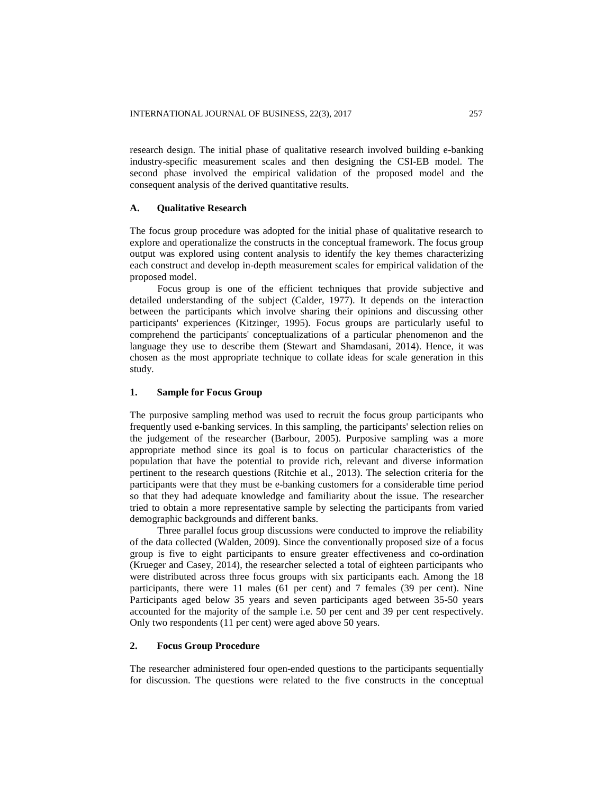research design. The initial phase of qualitative research involved building e-banking industry-specific measurement scales and then designing the CSI-EB model. The second phase involved the empirical validation of the proposed model and the consequent analysis of the derived quantitative results.

#### **A. Qualitative Research**

The focus group procedure was adopted for the initial phase of qualitative research to explore and operationalize the constructs in the conceptual framework. The focus group output was explored using content analysis to identify the key themes characterizing each construct and develop in-depth measurement scales for empirical validation of the proposed model.

Focus group is one of the efficient techniques that provide subjective and detailed understanding of the subject (Calder, 1977). It depends on the interaction between the participants which involve sharing their opinions and discussing other participants' experiences (Kitzinger, 1995). Focus groups are particularly useful to comprehend the participants' conceptualizations of a particular phenomenon and the language they use to describe them (Stewart and Shamdasani, 2014). Hence, it was chosen as the most appropriate technique to collate ideas for scale generation in this study.

#### **1. Sample for Focus Group**

The purposive sampling method was used to recruit the focus group participants who frequently used e-banking services. In this sampling, the participants' selection relies on the judgement of the researcher (Barbour, 2005). Purposive sampling was a more appropriate method since its goal is to focus on particular characteristics of the population that have the potential to provide rich, relevant and diverse information pertinent to the research questions (Ritchie et al., 2013). The selection criteria for the participants were that they must be e-banking customers for a considerable time period so that they had adequate knowledge and familiarity about the issue. The researcher tried to obtain a more representative sample by selecting the participants from varied demographic backgrounds and different banks.

Three parallel focus group discussions were conducted to improve the reliability of the data collected (Walden, 2009). Since the conventionally proposed size of a focus group is five to eight participants to ensure greater effectiveness and co-ordination (Krueger and Casey, 2014), the researcher selected a total of eighteen participants who were distributed across three focus groups with six participants each. Among the 18 participants, there were 11 males (61 per cent) and 7 females (39 per cent). Nine Participants aged below 35 years and seven participants aged between 35-50 years accounted for the majority of the sample i.e. 50 per cent and 39 per cent respectively. Only two respondents (11 per cent) were aged above 50 years.

## **2. Focus Group Procedure**

The researcher administered four open-ended questions to the participants sequentially for discussion. The questions were related to the five constructs in the conceptual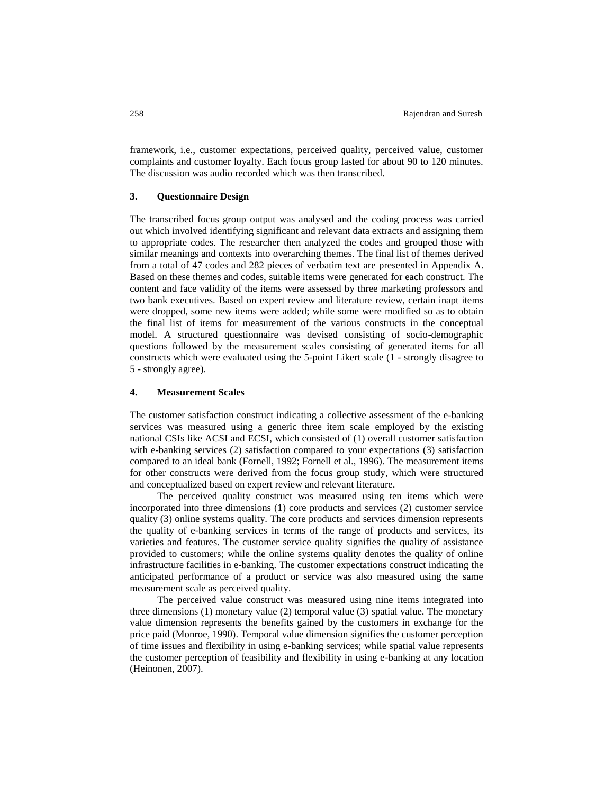framework, i.e., customer expectations, perceived quality, perceived value, customer complaints and customer loyalty. Each focus group lasted for about 90 to 120 minutes. The discussion was audio recorded which was then transcribed.

#### **3. Questionnaire Design**

The transcribed focus group output was analysed and the coding process was carried out which involved identifying significant and relevant data extracts and assigning them to appropriate codes. The researcher then analyzed the codes and grouped those with similar meanings and contexts into overarching themes. The final list of themes derived from a total of 47 codes and 282 pieces of verbatim text are presented in Appendix A. Based on these themes and codes, suitable items were generated for each construct. The content and face validity of the items were assessed by three marketing professors and two bank executives. Based on expert review and literature review, certain inapt items were dropped, some new items were added; while some were modified so as to obtain the final list of items for measurement of the various constructs in the conceptual model. A structured questionnaire was devised consisting of socio-demographic questions followed by the measurement scales consisting of generated items for all constructs which were evaluated using the 5-point Likert scale (1 - strongly disagree to 5 - strongly agree).

### **4. Measurement Scales**

The customer satisfaction construct indicating a collective assessment of the e-banking services was measured using a generic three item scale employed by the existing national CSIs like ACSI and ECSI, which consisted of (1) overall customer satisfaction with e-banking services (2) satisfaction compared to your expectations (3) satisfaction compared to an ideal bank (Fornell, 1992; Fornell et al., 1996). The measurement items for other constructs were derived from the focus group study, which were structured and conceptualized based on expert review and relevant literature.

The perceived quality construct was measured using ten items which were incorporated into three dimensions (1) core products and services (2) customer service quality (3) online systems quality. The core products and services dimension represents the quality of e-banking services in terms of the range of products and services, its varieties and features. The customer service quality signifies the quality of assistance provided to customers; while the online systems quality denotes the quality of online infrastructure facilities in e-banking. The customer expectations construct indicating the anticipated performance of a product or service was also measured using the same measurement scale as perceived quality.

The perceived value construct was measured using nine items integrated into three dimensions (1) monetary value (2) temporal value (3) spatial value. The monetary value dimension represents the benefits gained by the customers in exchange for the price paid (Monroe, 1990). Temporal value dimension signifies the customer perception of time issues and flexibility in using e-banking services; while spatial value represents the customer perception of feasibility and flexibility in using e-banking at any location (Heinonen, 2007).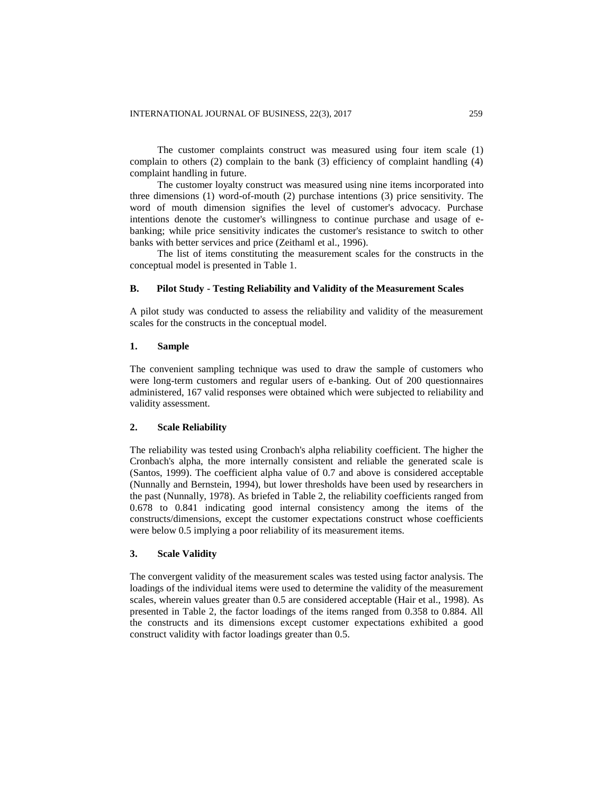The customer complaints construct was measured using four item scale (1) complain to others (2) complain to the bank (3) efficiency of complaint handling (4) complaint handling in future.

The customer loyalty construct was measured using nine items incorporated into three dimensions (1) word-of-mouth (2) purchase intentions (3) price sensitivity. The word of mouth dimension signifies the level of customer's advocacy. Purchase intentions denote the customer's willingness to continue purchase and usage of ebanking; while price sensitivity indicates the customer's resistance to switch to other banks with better services and price (Zeithaml et al., 1996).

The list of items constituting the measurement scales for the constructs in the conceptual model is presented in Table 1.

#### **B. Pilot Study - Testing Reliability and Validity of the Measurement Scales**

A pilot study was conducted to assess the reliability and validity of the measurement scales for the constructs in the conceptual model.

#### **1. Sample**

The convenient sampling technique was used to draw the sample of customers who were long-term customers and regular users of e-banking. Out of 200 questionnaires administered, 167 valid responses were obtained which were subjected to reliability and validity assessment.

#### **2. Scale Reliability**

The reliability was tested using Cronbach's alpha reliability coefficient. The higher the Cronbach's alpha, the more internally consistent and reliable the generated scale is (Santos, 1999). The coefficient alpha value of 0.7 and above is considered acceptable (Nunnally and Bernstein, 1994), but lower thresholds have been used by researchers in the past (Nunnally, 1978). As briefed in Table 2, the reliability coefficients ranged from 0.678 to 0.841 indicating good internal consistency among the items of the constructs/dimensions, except the customer expectations construct whose coefficients were below 0.5 implying a poor reliability of its measurement items.

#### **3. Scale Validity**

The convergent validity of the measurement scales was tested using factor analysis. The loadings of the individual items were used to determine the validity of the measurement scales, wherein values greater than 0.5 are considered acceptable (Hair et al., 1998). As presented in Table 2, the factor loadings of the items ranged from 0.358 to 0.884. All the constructs and its dimensions except customer expectations exhibited a good construct validity with factor loadings greater than 0.5.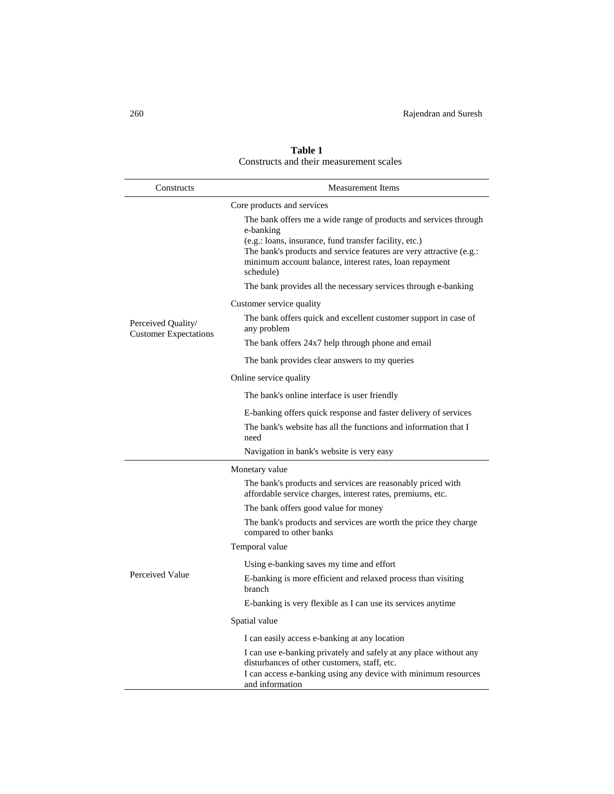| Constructs                                         | Measurement Items                                                                                                                                                                                                                                                                      |  |  |
|----------------------------------------------------|----------------------------------------------------------------------------------------------------------------------------------------------------------------------------------------------------------------------------------------------------------------------------------------|--|--|
|                                                    | Core products and services                                                                                                                                                                                                                                                             |  |  |
|                                                    | The bank offers me a wide range of products and services through<br>e-banking<br>(e.g.: loans, insurance, fund transfer facility, etc.)<br>The bank's products and service features are very attractive (e.g.:<br>minimum account balance, interest rates, loan repayment<br>schedule) |  |  |
|                                                    | The bank provides all the necessary services through e-banking                                                                                                                                                                                                                         |  |  |
|                                                    | Customer service quality                                                                                                                                                                                                                                                               |  |  |
| Perceived Quality/<br><b>Customer Expectations</b> | The bank offers quick and excellent customer support in case of<br>any problem                                                                                                                                                                                                         |  |  |
|                                                    | The bank offers 24x7 help through phone and email                                                                                                                                                                                                                                      |  |  |
|                                                    | The bank provides clear answers to my queries                                                                                                                                                                                                                                          |  |  |
|                                                    | Online service quality                                                                                                                                                                                                                                                                 |  |  |
|                                                    | The bank's online interface is user friendly                                                                                                                                                                                                                                           |  |  |
|                                                    | E-banking offers quick response and faster delivery of services                                                                                                                                                                                                                        |  |  |
|                                                    | The bank's website has all the functions and information that I<br>need                                                                                                                                                                                                                |  |  |
|                                                    | Navigation in bank's website is very easy                                                                                                                                                                                                                                              |  |  |
|                                                    | Monetary value                                                                                                                                                                                                                                                                         |  |  |
|                                                    | The bank's products and services are reasonably priced with<br>affordable service charges, interest rates, premiums, etc.                                                                                                                                                              |  |  |
|                                                    | The bank offers good value for money                                                                                                                                                                                                                                                   |  |  |
|                                                    | The bank's products and services are worth the price they charge<br>compared to other banks                                                                                                                                                                                            |  |  |
|                                                    | Temporal value                                                                                                                                                                                                                                                                         |  |  |
|                                                    | Using e-banking saves my time and effort                                                                                                                                                                                                                                               |  |  |
| Perceived Value                                    | E-banking is more efficient and relaxed process than visiting<br>branch                                                                                                                                                                                                                |  |  |
|                                                    | E-banking is very flexible as I can use its services anytime                                                                                                                                                                                                                           |  |  |
|                                                    | Spatial value                                                                                                                                                                                                                                                                          |  |  |
|                                                    | I can easily access e-banking at any location                                                                                                                                                                                                                                          |  |  |
|                                                    | I can use e-banking privately and safely at any place without any<br>disturbances of other customers, staff, etc.<br>I can access e-banking using any device with minimum resources<br>and information                                                                                 |  |  |

## **Table 1** Constructs and their measurement scales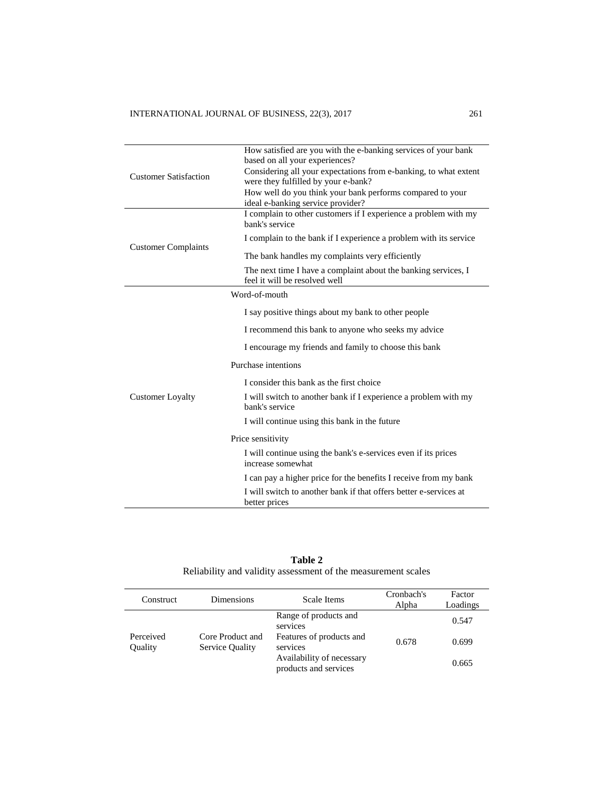|                              | How satisfied are you with the e-banking services of your bank<br>based on all your experiences?        |  |  |
|------------------------------|---------------------------------------------------------------------------------------------------------|--|--|
| <b>Customer Satisfaction</b> | Considering all your expectations from e-banking, to what extent<br>were they fulfilled by your e-bank? |  |  |
|                              | How well do you think your bank performs compared to your<br>ideal e-banking service provider?          |  |  |
|                              | I complain to other customers if I experience a problem with my<br>bank's service                       |  |  |
| <b>Customer Complaints</b>   | I complain to the bank if I experience a problem with its service                                       |  |  |
|                              | The bank handles my complaints very efficiently                                                         |  |  |
|                              | The next time I have a complaint about the banking services, I<br>feel it will be resolved well         |  |  |
|                              | Word-of-mouth                                                                                           |  |  |
|                              | I say positive things about my bank to other people                                                     |  |  |
|                              | I recommend this bank to anyone who seeks my advice                                                     |  |  |
|                              | I encourage my friends and family to choose this bank                                                   |  |  |
|                              | Purchase intentions                                                                                     |  |  |
|                              | I consider this bank as the first choice                                                                |  |  |
| <b>Customer Loyalty</b>      | I will switch to another bank if I experience a problem with my<br>bank's service                       |  |  |
|                              | I will continue using this bank in the future                                                           |  |  |
|                              | Price sensitivity                                                                                       |  |  |
|                              | I will continue using the bank's e-services even if its prices<br>increase somewhat                     |  |  |
|                              | I can pay a higher price for the benefits I receive from my bank                                        |  |  |
|                              | I will switch to another bank if that offers better e-services at<br>better prices                      |  |  |

**Table 2** Reliability and validity assessment of the measurement scales

| Construct            | <b>Dimensions</b>                          | Scale Items                                        | Cronbach's<br>Alpha | Factor<br>Loadings |
|----------------------|--------------------------------------------|----------------------------------------------------|---------------------|--------------------|
|                      | Core Product and<br><b>Service Quality</b> | Range of products and<br>services                  |                     | 0.547              |
| Perceived<br>Quality |                                            | Features of products and<br>services               | 0.678               | 0.699              |
|                      |                                            | Availability of necessary<br>products and services |                     | 0.665              |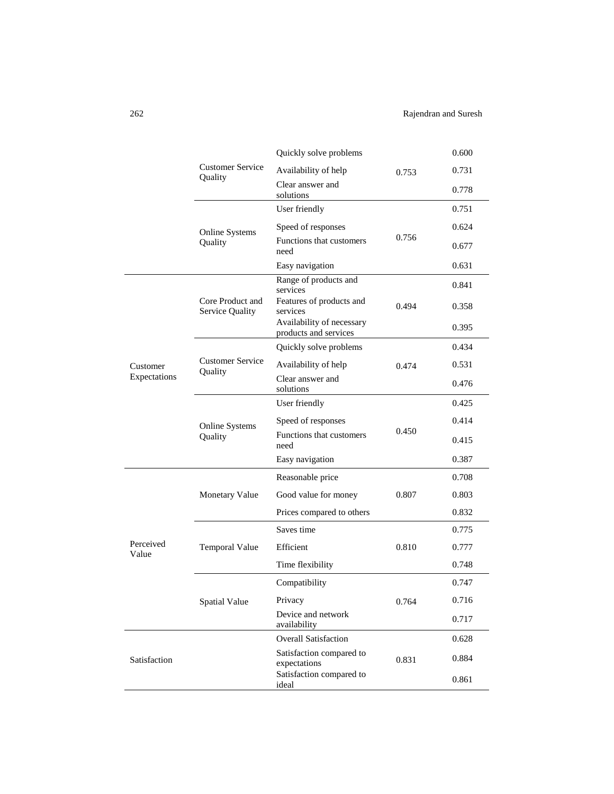262 Rajendran and Suresh

|                    |                                     | Quickly solve problems                                            |       | 0.600 |
|--------------------|-------------------------------------|-------------------------------------------------------------------|-------|-------|
|                    | <b>Customer Service</b><br>Quality  | Availability of help                                              | 0.753 | 0.731 |
|                    |                                     | Clear answer and<br>solutions                                     |       | 0.778 |
|                    |                                     | User friendly                                                     |       | 0.751 |
|                    | Online Systems                      | Speed of responses                                                |       | 0.624 |
|                    | Quality                             | Functions that customers<br>need                                  | 0.756 | 0.677 |
|                    |                                     | Easy navigation                                                   |       | 0.631 |
|                    |                                     | Range of products and<br>services                                 |       | 0.841 |
|                    | Core Product and<br>Service Quality | Features of products and<br>services<br>Availability of necessary | 0.494 | 0.358 |
|                    |                                     | products and services                                             |       | 0.395 |
|                    |                                     | Quickly solve problems                                            |       | 0.434 |
| Customer           | <b>Customer Service</b><br>Quality  | Availability of help                                              | 0.474 | 0.531 |
| Expectations       |                                     | Clear answer and<br>solutions                                     |       | 0.476 |
|                    |                                     | User friendly                                                     |       | 0.425 |
|                    | Online Systems                      | Speed of responses                                                | 0.450 | 0.414 |
|                    | Quality                             | Functions that customers<br>need                                  |       | 0.415 |
|                    |                                     | Easy navigation                                                   |       | 0.387 |
|                    |                                     | Reasonable price                                                  |       | 0.708 |
|                    | <b>Monetary Value</b>               | Good value for money                                              | 0.807 | 0.803 |
|                    |                                     | Prices compared to others                                         |       | 0.832 |
|                    |                                     | Saves time                                                        |       | 0.775 |
| Perceived<br>Value | <b>Temporal Value</b>               | Efficient                                                         | 0.810 | 0.777 |
|                    |                                     | Time flexibility                                                  |       | 0.748 |
|                    |                                     | Compatibility                                                     |       | 0.747 |
|                    | <b>Spatial Value</b>                | Privacy                                                           | 0.764 | 0.716 |
|                    |                                     | Device and network<br>availability                                |       | 0.717 |
|                    |                                     | <b>Overall Satisfaction</b>                                       |       | 0.628 |
| Satisfaction       |                                     | Satisfaction compared to<br>expectations                          | 0.831 | 0.884 |
|                    |                                     | Satisfaction compared to<br>ideal                                 |       | 0.861 |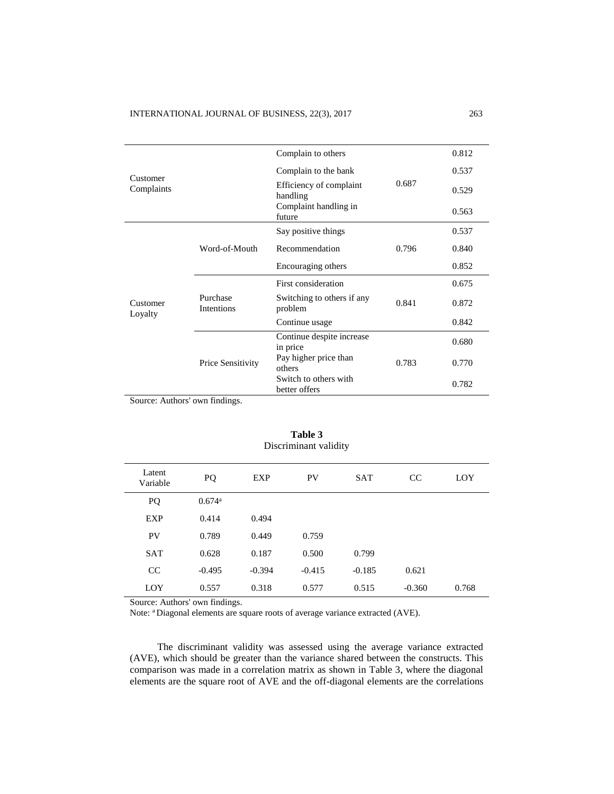|                     |                        | Complain to others                     |       | 0.812 |
|---------------------|------------------------|----------------------------------------|-------|-------|
| Customer            |                        | Complain to the bank                   |       | 0.537 |
| Complaints          |                        | Efficiency of complaint<br>handling    | 0.687 | 0.529 |
|                     |                        | Complaint handling in<br>future        |       | 0.563 |
|                     |                        | Say positive things                    |       | 0.537 |
|                     | Word-of-Mouth          | Recommendation                         | 0.796 | 0.840 |
|                     |                        | Encouraging others                     |       | 0.852 |
|                     | Purchase<br>Intentions | First consideration                    |       | 0.675 |
| Customer<br>Loyalty |                        | Switching to others if any<br>problem  | 0.841 | 0.872 |
|                     |                        | Continue usage                         |       | 0.842 |
|                     | Price Sensitivity      | Continue despite increase<br>in price  |       | 0.680 |
|                     |                        | Pay higher price than<br>others        | 0.783 | 0.770 |
|                     |                        | Switch to others with<br>better offers |       | 0.782 |

Source: Authors' own findings.

| Discriminant validity |                      |          |           |            |          |       |
|-----------------------|----------------------|----------|-----------|------------|----------|-------|
| Latent<br>Variable    | PQ                   | EXP      | <b>PV</b> | <b>SAT</b> | CC       | LOY   |
| PQ                    | $0.674$ <sup>a</sup> |          |           |            |          |       |
| <b>EXP</b>            | 0.414                | 0.494    |           |            |          |       |
| PV                    | 0.789                | 0.449    | 0.759     |            |          |       |
| <b>SAT</b>            | 0.628                | 0.187    | 0.500     | 0.799      |          |       |
| CC                    | $-0.495$             | $-0.394$ | $-0.415$  | $-0.185$   | 0.621    |       |
| LOY                   | 0.557                | 0.318    | 0.577     | 0.515      | $-0.360$ | 0.768 |

# **Table 3**

Source: Authors' own findings.

Note: <sup>a</sup> Diagonal elements are square roots of average variance extracted (AVE).

The discriminant validity was assessed using the average variance extracted (AVE), which should be greater than the variance shared between the constructs. This comparison was made in a correlation matrix as shown in Table 3, where the diagonal elements are the square root of AVE and the off-diagonal elements are the correlations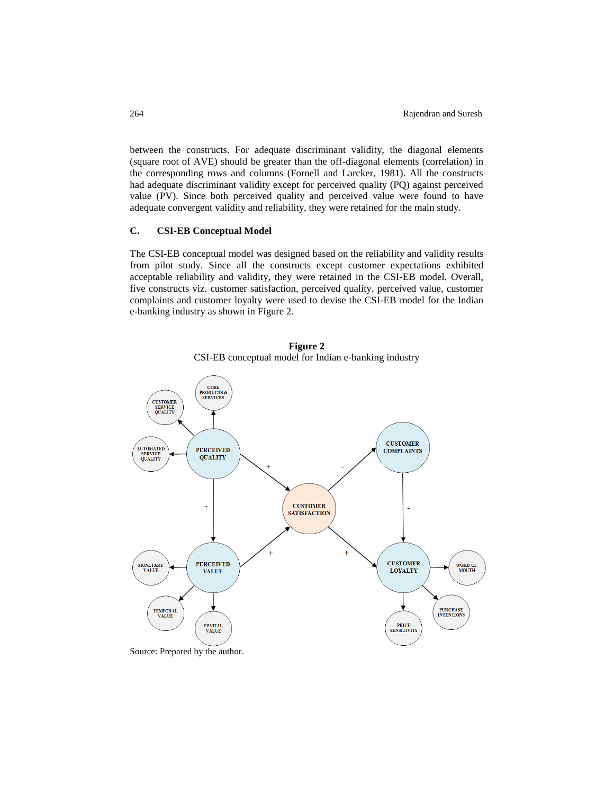between the constructs. For adequate discriminant validity, the diagonal elements (square root of AVE) should be greater than the off-diagonal elements (correlation) in the corresponding rows and columns (Fornell and Larcker, 1981). All the constructs had adequate discriminant validity except for perceived quality (PQ) against perceived value (PV). Since both perceived quality and perceived value were found to have adequate convergent validity and reliability, they were retained for the main study.

## **C. CSI-EB Conceptual Model**

The CSI-EB conceptual model was designed based on the reliability and validity results from pilot study. Since all the constructs except customer expectations exhibited acceptable reliability and validity, they were retained in the CSI-EB model. Overall, five constructs viz. customer satisfaction, perceived quality, perceived value, customer complaints and customer loyalty were used to devise the CSI-EB model for the Indian e-banking industry as shown in Figure 2.



**Figure 2** CSI-EB conceptual model for Indian e-banking industry

Source: Prepared by the author.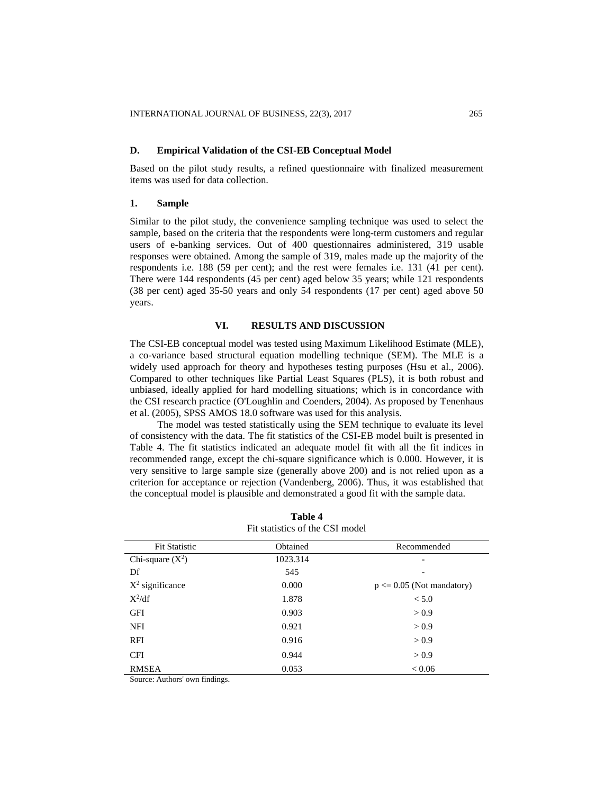#### **D. Empirical Validation of the CSI-EB Conceptual Model**

Based on the pilot study results, a refined questionnaire with finalized measurement items was used for data collection.

#### **1. Sample**

Similar to the pilot study, the convenience sampling technique was used to select the sample, based on the criteria that the respondents were long-term customers and regular users of e-banking services. Out of 400 questionnaires administered, 319 usable responses were obtained. Among the sample of 319, males made up the majority of the respondents i.e. 188 (59 per cent); and the rest were females i.e. 131 (41 per cent). There were 144 respondents (45 per cent) aged below 35 years; while 121 respondents (38 per cent) aged 35-50 years and only 54 respondents (17 per cent) aged above 50 years.

#### **VI. RESULTS AND DISCUSSION**

The CSI-EB conceptual model was tested using Maximum Likelihood Estimate (MLE), a co-variance based structural equation modelling technique (SEM). The MLE is a widely used approach for theory and hypotheses testing purposes (Hsu et al., 2006). Compared to other techniques like Partial Least Squares (PLS), it is both robust and unbiased, ideally applied for hard modelling situations; which is in concordance with the CSI research practice (O'Loughlin and Coenders, 2004). As proposed by Tenenhaus et al. (2005), SPSS AMOS 18.0 software was used for this analysis.

The model was tested statistically using the SEM technique to evaluate its level of consistency with the data. The fit statistics of the CSI-EB model built is presented in Table 4. The fit statistics indicated an adequate model fit with all the fit indices in recommended range, except the chi-square significance which is 0.000. However, it is very sensitive to large sample size (generally above 200) and is not relied upon as a criterion for acceptance or rejection (Vandenberg, 2006). Thus, it was established that the conceptual model is plausible and demonstrated a good fit with the sample data.

| <b>Fit Statistic</b> | Obtained | Recommended                  |
|----------------------|----------|------------------------------|
| Chi-square $(X^2)$   | 1023.314 | -                            |
| Df                   | 545      |                              |
| $X^2$ significance   | 0.000    | $p \le 0.05$ (Not mandatory) |
| $X^2/df$             | 1.878    | < 5.0                        |
| <b>GFI</b>           | 0.903    | > 0.9                        |
| <b>NFI</b>           | 0.921    | > 0.9                        |
| <b>RFI</b>           | 0.916    | > 0.9                        |
| <b>CFI</b>           | 0.944    | > 0.9                        |
| <b>RMSEA</b>         | 0.053    | ${}< 0.06$                   |

| Table 4                         |  |
|---------------------------------|--|
| Fit statistics of the CSI model |  |

Source: Authors' own findings.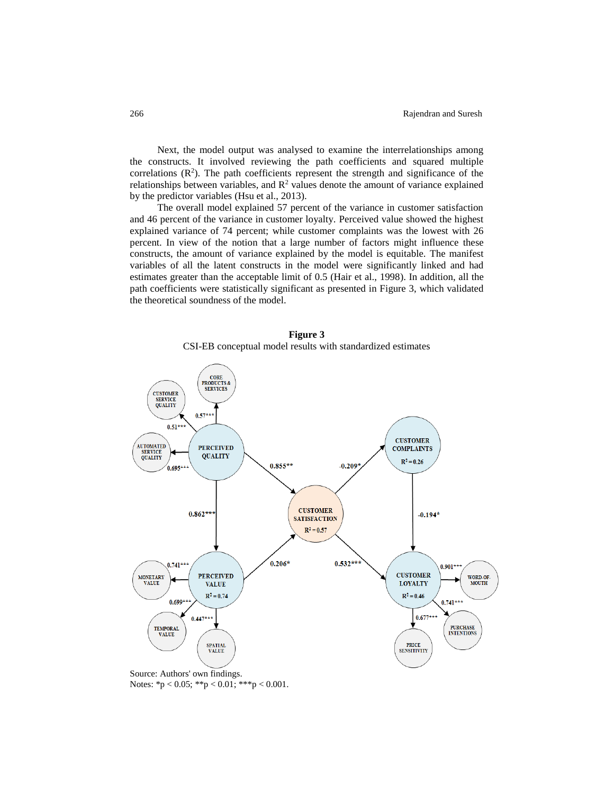Next, the model output was analysed to examine the interrelationships among the constructs. It involved reviewing the path coefficients and squared multiple correlations  $(R<sup>2</sup>)$ . The path coefficients represent the strength and significance of the relationships between variables, and  $R<sup>2</sup>$  values denote the amount of variance explained by the predictor variables (Hsu et al., 2013).

The overall model explained 57 percent of the variance in customer satisfaction and 46 percent of the variance in customer loyalty. Perceived value showed the highest explained variance of 74 percent; while customer complaints was the lowest with 26 percent. In view of the notion that a large number of factors might influence these constructs, the amount of variance explained by the model is equitable. The manifest variables of all the latent constructs in the model were significantly linked and had estimates greater than the acceptable limit of 0.5 (Hair et al., 1998). In addition, all the path coefficients were statistically significant as presented in Figure 3, which validated the theoretical soundness of the model.





Source: Authors' own findings. Notes: \*p < 0.05; \*\*p < 0.01; \*\*\*p < 0.001.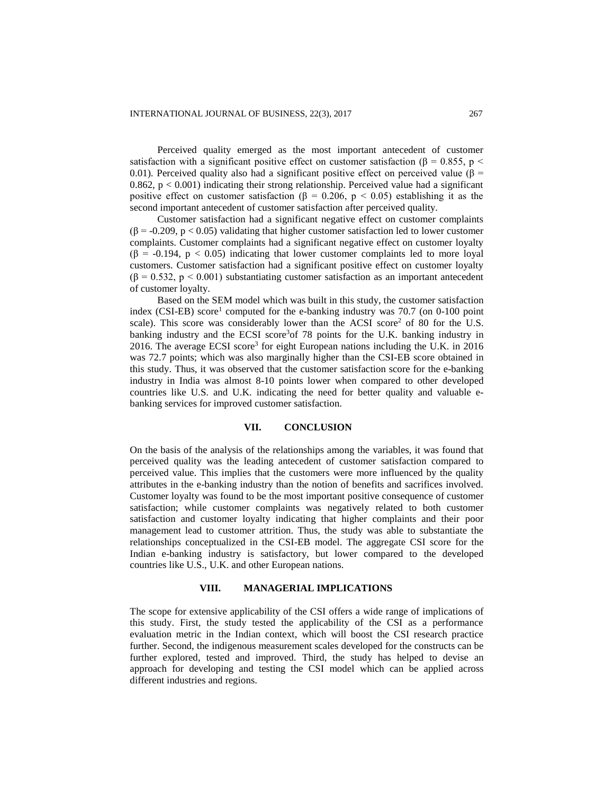Perceived quality emerged as the most important antecedent of customer satisfaction with a significant positive effect on customer satisfaction ( $\beta = 0.855$ , p < 0.01). Perceived quality also had a significant positive effect on perceived value ( $\beta$  =  $0.862$ ,  $p < 0.001$ ) indicating their strong relationship. Perceived value had a significant positive effect on customer satisfaction ( $\beta = 0.206$ ,  $p < 0.05$ ) establishing it as the second important antecedent of customer satisfaction after perceived quality.

Customer satisfaction had a significant negative effect on customer complaints ( $\beta$  = -0.209, p < 0.05) validating that higher customer satisfaction led to lower customer complaints. Customer complaints had a significant negative effect on customer loyalty  $(\beta = -0.194, p < 0.05)$  indicating that lower customer complaints led to more loyal customers. Customer satisfaction had a significant positive effect on customer loyalty  $(\beta = 0.532, p \le 0.001)$  substantiating customer satisfaction as an important antecedent of customer loyalty.

Based on the SEM model which was built in this study, the customer satisfaction index (CSI-EB) score<sup>1</sup> computed for the e-banking industry was  $70.7$  (on 0-100 point scale). This score was considerably lower than the ACSI score<sup>2</sup> of 80 for the U.S. banking industry and the ECSI score<sup>3</sup> of 78 points for the U.K. banking industry in 2016. The average ECSI score<sup>3</sup> for eight European nations including the U.K. in 2016 was 72.7 points; which was also marginally higher than the CSI-EB score obtained in this study. Thus, it was observed that the customer satisfaction score for the e-banking industry in India was almost 8-10 points lower when compared to other developed countries like U.S. and U.K. indicating the need for better quality and valuable ebanking services for improved customer satisfaction.

#### **VII. CONCLUSION**

On the basis of the analysis of the relationships among the variables, it was found that perceived quality was the leading antecedent of customer satisfaction compared to perceived value. This implies that the customers were more influenced by the quality attributes in the e-banking industry than the notion of benefits and sacrifices involved. Customer loyalty was found to be the most important positive consequence of customer satisfaction; while customer complaints was negatively related to both customer satisfaction and customer loyalty indicating that higher complaints and their poor management lead to customer attrition. Thus, the study was able to substantiate the relationships conceptualized in the CSI-EB model. The aggregate CSI score for the Indian e-banking industry is satisfactory, but lower compared to the developed countries like U.S., U.K. and other European nations.

#### **VIII. MANAGERIAL IMPLICATIONS**

The scope for extensive applicability of the CSI offers a wide range of implications of this study. First, the study tested the applicability of the CSI as a performance evaluation metric in the Indian context, which will boost the CSI research practice further. Second, the indigenous measurement scales developed for the constructs can be further explored, tested and improved. Third, the study has helped to devise an approach for developing and testing the CSI model which can be applied across different industries and regions.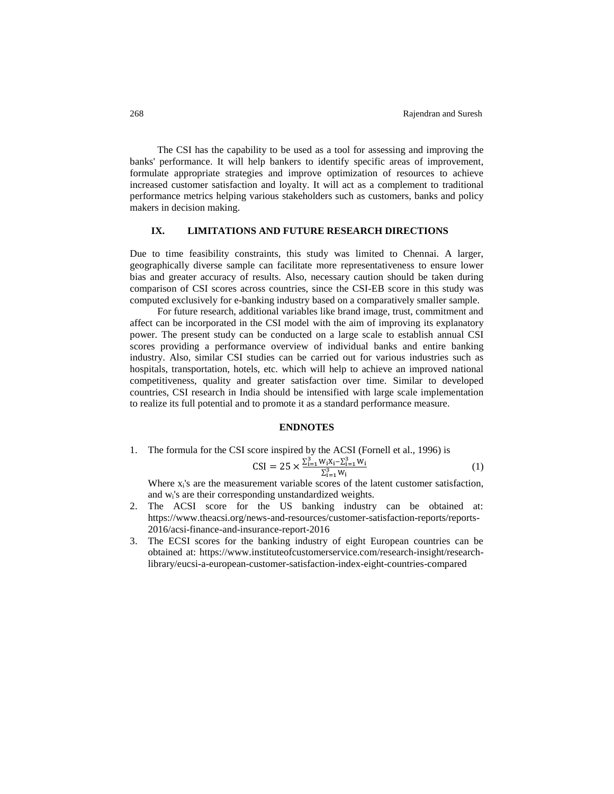The CSI has the capability to be used as a tool for assessing and improving the banks' performance. It will help bankers to identify specific areas of improvement, formulate appropriate strategies and improve optimization of resources to achieve increased customer satisfaction and loyalty. It will act as a complement to traditional performance metrics helping various stakeholders such as customers, banks and policy makers in decision making.

## **IX. LIMITATIONS AND FUTURE RESEARCH DIRECTIONS**

Due to time feasibility constraints, this study was limited to Chennai. A larger, geographically diverse sample can facilitate more representativeness to ensure lower bias and greater accuracy of results. Also, necessary caution should be taken during comparison of CSI scores across countries, since the CSI-EB score in this study was computed exclusively for e-banking industry based on a comparatively smaller sample.

For future research, additional variables like brand image, trust, commitment and affect can be incorporated in the CSI model with the aim of improving its explanatory power. The present study can be conducted on a large scale to establish annual CSI scores providing a performance overview of individual banks and entire banking industry. Also, similar CSI studies can be carried out for various industries such as hospitals, transportation, hotels, etc. which will help to achieve an improved national competitiveness, quality and greater satisfaction over time. Similar to developed countries, CSI research in India should be intensified with large scale implementation to realize its full potential and to promote it as a standard performance measure.

#### **ENDNOTES**

1. The formula for the CSI score inspired by the ACSI (Fornell et al., 1996) is

$$
CSI = 25 \times \frac{\sum_{i=1}^{3} W_{i} X_{i} - \sum_{i=1}^{3} W_{i}}{\sum_{i=1}^{3} W_{i}}
$$
\n(1)

Where  $x_i$ 's are the measurement variable scores of the latent customer satisfaction, and wi's are their corresponding unstandardized weights.

- 2. The ACSI score for the US banking industry can be obtained at: https://www.theacsi.org/news-and-resources/customer-satisfaction-reports/reports-2016/acsi-finance-and-insurance-report-2016
- 3. The ECSI scores for the banking industry of eight European countries can be obtained at: https://www.instituteofcustomerservice.com/research-insight/researchlibrary/eucsi-a-european-customer-satisfaction-index-eight-countries-compared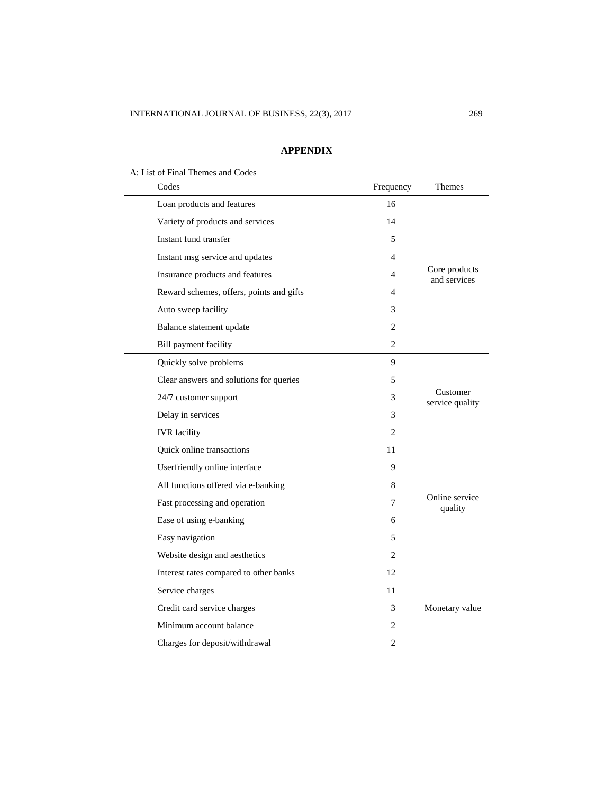## **APPENDIX**

A: List of Final Themes and Codes

| Codes                                    | Frequency | Themes                        |
|------------------------------------------|-----------|-------------------------------|
| Loan products and features               | 16        |                               |
| Variety of products and services         | 14        |                               |
| Instant fund transfer                    | 5         |                               |
| Instant msg service and updates          | 4         |                               |
| Insurance products and features          | 4         | Core products<br>and services |
| Reward schemes, offers, points and gifts | 4         |                               |
| Auto sweep facility                      | 3         |                               |
| Balance statement update                 | 2         |                               |
| Bill payment facility                    | 2         |                               |
| Quickly solve problems                   | 9         |                               |
| Clear answers and solutions for queries  | 5         |                               |
| 24/7 customer support                    | 3         | Customer<br>service quality   |
| Delay in services                        | 3         |                               |
| <b>IVR</b> facility                      | 2         |                               |
| Quick online transactions                | 11        |                               |
| Userfriendly online interface            | 9         |                               |
| All functions offered via e-banking      | 8         |                               |
| Fast processing and operation            | 7         | Online service<br>quality     |
| Ease of using e-banking                  | 6         |                               |
| Easy navigation                          | 5         |                               |
| Website design and aesthetics            | 2         |                               |
| Interest rates compared to other banks   | 12        |                               |
| Service charges                          | 11        |                               |
| Credit card service charges              | 3         | Monetary value                |
| Minimum account balance                  | 2         |                               |
| Charges for deposit/withdrawal           | 2         |                               |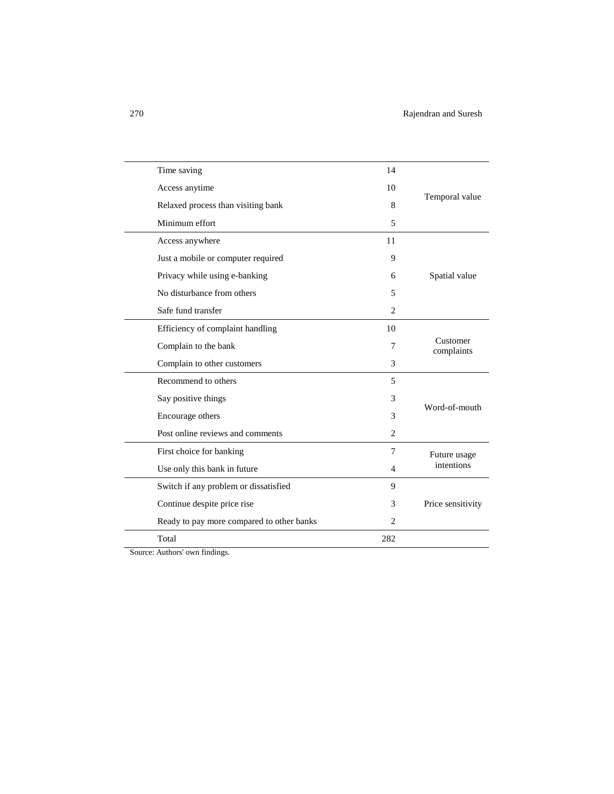| Time saving                               | 14             |                        |
|-------------------------------------------|----------------|------------------------|
| Access anytime                            | 10             |                        |
| Relaxed process than visiting bank        | 8              | Temporal value         |
| Minimum effort                            | 5              |                        |
| Access anywhere                           | 11             |                        |
| Just a mobile or computer required        | 9              |                        |
| Privacy while using e-banking             | 6              | Spatial value          |
| No disturbance from others                | 5              |                        |
| Safe fund transfer                        | $\overline{c}$ |                        |
| Efficiency of complaint handling          | 10             |                        |
| Complain to the bank                      | 7              | Customer<br>complaints |
| Complain to other customers               | 3              |                        |
| Recommend to others                       | 5              |                        |
| Say positive things                       | 3              | Word-of-mouth          |
| Encourage others                          | 3              |                        |
| Post online reviews and comments          | 2              |                        |
| First choice for banking                  | 7              | Future usage           |
| Use only this bank in future              | 4              | intentions             |
| Switch if any problem or dissatisfied     | 9              |                        |
| Continue despite price rise               | 3              | Price sensitivity      |
| Ready to pay more compared to other banks | $\overline{2}$ |                        |
| Total                                     | 282            |                        |
|                                           |                |                        |

Source: Authors' own findings.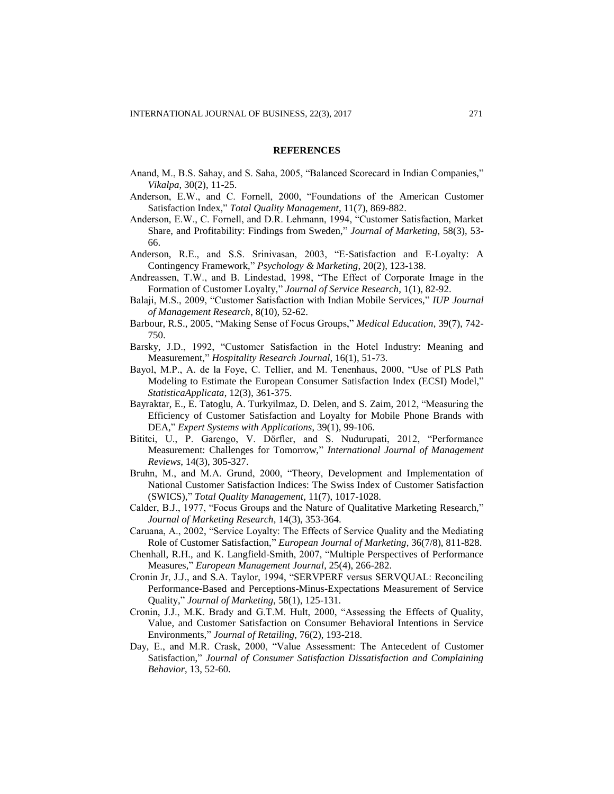#### **REFERENCES**

- Anand, M., B.S. Sahay, and S. Saha, 2005, "Balanced Scorecard in Indian Companies," *Vikalpa*, 30(2), 11-25.
- Anderson, E.W., and C. Fornell, 2000, "Foundations of the American Customer Satisfaction Index," *Total Quality Management*, 11(7), 869-882.
- Anderson, E.W., C. Fornell, and D.R. Lehmann, 1994, "Customer Satisfaction, Market Share, and Profitability: Findings from Sweden," *Journal of Marketing*, 58(3), 53- 66.
- Anderson, R.E., and S.S. Srinivasan, 2003, "E‐Satisfaction and E‐Loyalty: A Contingency Framework," *Psychology & Marketing*, 20(2), 123-138.
- Andreassen, T.W., and B. Lindestad, 1998, "The Effect of Corporate Image in the Formation of Customer Loyalty," *Journal of Service Research*, 1(1), 82-92.
- Balaji, M.S., 2009, "Customer Satisfaction with Indian Mobile Services," *IUP Journal of Management Research*, 8(10), 52-62.
- Barbour, R.S., 2005, "Making Sense of Focus Groups," *Medical Education*, 39(7), 742- 750.
- Barsky, J.D., 1992, "Customer Satisfaction in the Hotel Industry: Meaning and Measurement," *Hospitality Research Journal*, 16(1), 51-73.
- Bayol, M.P., A. de la Foye, C. Tellier, and M. Tenenhaus, 2000, "Use of PLS Path Modeling to Estimate the European Consumer Satisfaction Index (ECSI) Model," *StatisticaApplicata*, 12(3), 361-375.
- Bayraktar, E., E. Tatoglu, A. Turkyilmaz, D. Delen, and S. Zaim, 2012, "Measuring the Efficiency of Customer Satisfaction and Loyalty for Mobile Phone Brands with DEA," *Expert Systems with Applications*, 39(1), 99-106.
- Bititci, U., P. Garengo, V. Dörfler, and S. Nudurupati, 2012, "Performance Measurement: Challenges for Tomorrow," *International Journal of Management Reviews*, 14(3), 305-327.
- Bruhn, M., and M.A. Grund, 2000, "Theory, Development and Implementation of National Customer Satisfaction Indices: The Swiss Index of Customer Satisfaction (SWICS)," *Total Quality Management*, 11(7), 1017-1028.
- Calder, B.J., 1977, "Focus Groups and the Nature of Qualitative Marketing Research," *Journal of Marketing Research*, 14(3), 353-364.
- Caruana, A., 2002, "Service Loyalty: The Effects of Service Quality and the Mediating Role of Customer Satisfaction," *European Journal of Marketing*, 36(7/8), 811-828.
- Chenhall, R.H., and K. Langfield-Smith, 2007, "Multiple Perspectives of Performance Measures," *European Management Journal*, 25(4), 266-282.
- Cronin Jr, J.J., and S.A. Taylor, 1994, "SERVPERF versus SERVQUAL: Reconciling Performance-Based and Perceptions-Minus-Expectations Measurement of Service Quality," *Journal of Marketing*, 58(1), 125-131.
- Cronin, J.J., M.K. Brady and G.T.M. Hult, 2000, "Assessing the Effects of Quality, Value, and Customer Satisfaction on Consumer Behavioral Intentions in Service Environments," *Journal of Retailing*, 76(2), 193-218.
- Day, E., and M.R. Crask, 2000, "Value Assessment: The Antecedent of Customer Satisfaction," *Journal of Consumer Satisfaction Dissatisfaction and Complaining Behavior*, 13, 52-60.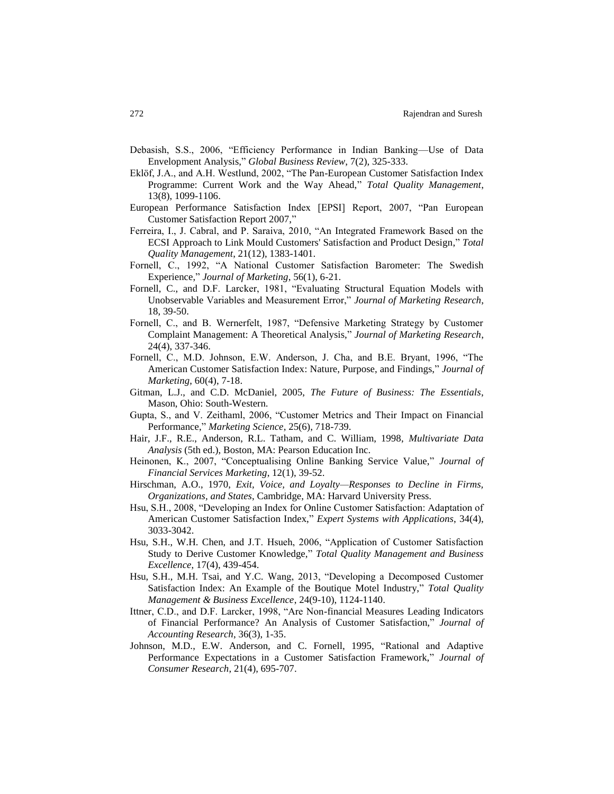- Debasish, S.S., 2006, "Efficiency Performance in Indian Banking—Use of Data Envelopment Analysis," *Global Business Review*, 7(2), 325-333.
- Eklöf, J.A., and A.H. Westlund, 2002, "The Pan-European Customer Satisfaction Index Programme: Current Work and the Way Ahead," *Total Quality Management*, 13(8), 1099-1106.
- European Performance Satisfaction Index [EPSI] Report, 2007, "Pan European Customer Satisfaction Report 2007,"
- Ferreira, I., J. Cabral, and P. Saraiva, 2010, "An Integrated Framework Based on the ECSI Approach to Link Mould Customers' Satisfaction and Product Design," *Total Quality Management*, 21(12), 1383-1401.
- Fornell, C., 1992, "A National Customer Satisfaction Barometer: The Swedish Experience," *Journal of Marketing*, 56(1), 6-21.
- Fornell, C., and D.F. Larcker, 1981, "Evaluating Structural Equation Models with Unobservable Variables and Measurement Error," *Journal of Marketing Research*, 18, 39-50.
- Fornell, C., and B. Wernerfelt, 1987, "Defensive Marketing Strategy by Customer Complaint Management: A Theoretical Analysis," *Journal of Marketing Research*, 24(4), 337-346.
- Fornell, C., M.D. Johnson, E.W. Anderson, J. Cha, and B.E. Bryant, 1996, "The American Customer Satisfaction Index: Nature, Purpose, and Findings," *Journal of Marketing*, 60(4), 7-18.
- Gitman, L.J., and C.D. McDaniel, 2005, *The Future of Business: The Essentials*, Mason, Ohio: South-Western.
- Gupta, S., and V. Zeithaml, 2006, "Customer Metrics and Their Impact on Financial Performance," *Marketing Science*, 25(6), 718-739.
- Hair, J.F., R.E., Anderson, R.L. Tatham, and C. William, 1998, *Multivariate Data Analysis* (5th ed.), Boston, MA: Pearson Education Inc.
- Heinonen, K., 2007, "Conceptualising Online Banking Service Value," *Journal of Financial Services Marketing*, 12(1), 39-52.
- Hirschman, A.O., 1970, *Exit, Voice, and Loyalty—Responses to Decline in Firms, Organizations, and States*, Cambridge, MA: Harvard University Press.
- Hsu, S.H., 2008, "Developing an Index for Online Customer Satisfaction: Adaptation of American Customer Satisfaction Index," *Expert Systems with Applications*, 34(4), 3033-3042.
- Hsu, S.H., W.H. Chen, and J.T. Hsueh, 2006, "Application of Customer Satisfaction Study to Derive Customer Knowledge," *Total Quality Management and Business Excellence*, 17(4), 439-454.
- Hsu, S.H., M.H. Tsai, and Y.C. Wang, 2013, "Developing a Decomposed Customer Satisfaction Index: An Example of the Boutique Motel Industry," *Total Quality Management & Business Excellence*, 24(9-10), 1124-1140.
- Ittner, C.D., and D.F. Larcker, 1998, "Are Non-financial Measures Leading Indicators of Financial Performance? An Analysis of Customer Satisfaction," *Journal of Accounting Research*, 36(3), 1-35.
- Johnson, M.D., E.W. Anderson, and C. Fornell, 1995, "Rational and Adaptive Performance Expectations in a Customer Satisfaction Framework," *Journal of Consumer Research*, 21(4), 695-707.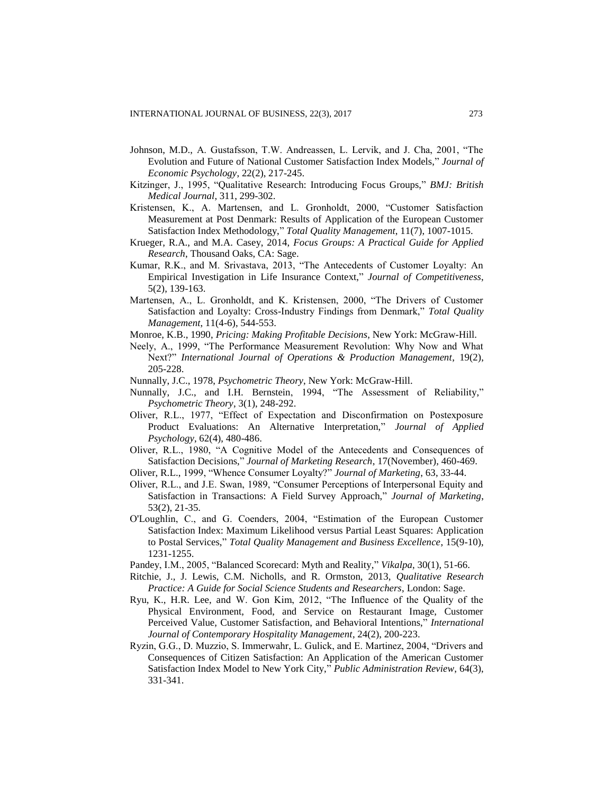- Johnson, M.D., A. Gustafsson, T.W. Andreassen, L. Lervik, and J. Cha, 2001, "The Evolution and Future of National Customer Satisfaction Index Models," *Journal of Economic Psychology*, 22(2), 217-245.
- Kitzinger, J., 1995, "Qualitative Research: Introducing Focus Groups," *BMJ: British Medical Journal*, 311, 299-302.
- Kristensen, K., A. Martensen, and L. Gronholdt, 2000, "Customer Satisfaction Measurement at Post Denmark: Results of Application of the European Customer Satisfaction Index Methodology," *Total Quality Management*, 11(7), 1007-1015.
- Krueger, R.A., and M.A. Casey, 2014, *Focus Groups: A Practical Guide for Applied Research*, Thousand Oaks, CA: Sage.
- Kumar, R.K., and M. Srivastava, 2013, "The Antecedents of Customer Loyalty: An Empirical Investigation in Life Insurance Context," *Journal of Competitiveness*, 5(2), 139-163.
- Martensen, A., L. Gronholdt, and K. Kristensen, 2000, "The Drivers of Customer Satisfaction and Loyalty: Cross-Industry Findings from Denmark," *Total Quality Management*, 11(4-6), 544-553.
- Monroe, K.B., 1990, *Pricing: Making Profitable Decisions*, New York: McGraw-Hill.
- Neely, A., 1999, "The Performance Measurement Revolution: Why Now and What Next?" *International Journal of Operations & Production Management*, 19(2), 205-228.
- Nunnally, J.C., 1978, *Psychometric Theory*, New York: McGraw-Hill.
- Nunnally, J.C., and I.H. Bernstein, 1994, "The Assessment of Reliability," *Psychometric Theory*, 3(1), 248-292.
- Oliver, R.L., 1977, "Effect of Expectation and Disconfirmation on Postexposure Product Evaluations: An Alternative Interpretation," *Journal of Applied Psychology*, 62(4), 480-486.
- Oliver, R.L., 1980, "A Cognitive Model of the Antecedents and Consequences of Satisfaction Decisions," *Journal of Marketing Research*, 17(November), 460-469.
- Oliver, R.L., 1999, "Whence Consumer Loyalty?" *Journal of Marketing*, 63, 33-44.
- Oliver, R.L., and J.E. Swan, 1989, "Consumer Perceptions of Interpersonal Equity and Satisfaction in Transactions: A Field Survey Approach," *Journal of Marketing*, 53(2), 21-35.
- O'Loughlin, C., and G. Coenders, 2004, "Estimation of the European Customer Satisfaction Index: Maximum Likelihood versus Partial Least Squares: Application to Postal Services," *Total Quality Management and Business Excellence*, 15(9-10), 1231-1255.
- Pandey, I.M., 2005, "Balanced Scorecard: Myth and Reality," *Vikalpa*, 30(1), 51-66.
- Ritchie, J., J. Lewis, C.M. Nicholls, and R. Ormston, 2013, *Qualitative Research Practice: A Guide for Social Science Students and Researchers*, London: Sage.
- Ryu, K., H.R. Lee, and W. Gon Kim, 2012, "The Influence of the Quality of the Physical Environment, Food, and Service on Restaurant Image, Customer Perceived Value, Customer Satisfaction, and Behavioral Intentions," *International Journal of Contemporary Hospitality Management*, 24(2), 200-223.
- Ryzin, G.G., D. Muzzio, S. Immerwahr, L. Gulick, and E. Martinez, 2004, "Drivers and Consequences of Citizen Satisfaction: An Application of the American Customer Satisfaction Index Model to New York City," *Public Administration Review*, 64(3), 331-341.